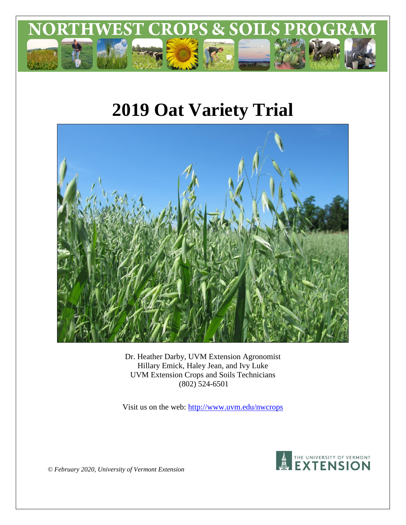

# **2019 Oat Variety Trial**



Dr. Heather Darby, UVM Extension Agronomist Hillary Emick, Haley Jean, and Ivy Luke UVM Extension Crops and Soils Technicians (802) 524-6501

Visit us on the web:<http://www.uvm.edu/nwcrops>



*© February 2020, University of Vermont Extension*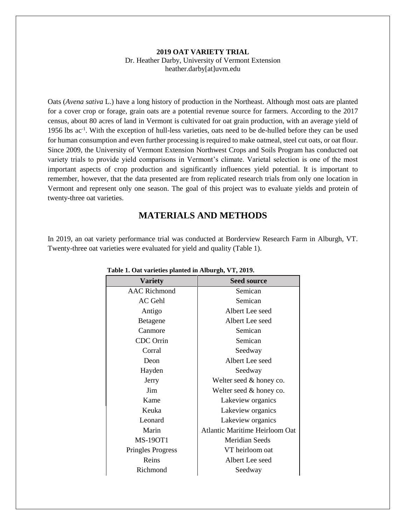#### **2019 OAT VARIETY TRIAL** Dr. Heather Darby, University of Vermont Extension heather.darby[at]uvm.edu

Oats (*Avena sativa* L.) have a long history of production in the Northeast. Although most oats are planted for a cover crop or forage, grain oats are a potential revenue source for farmers. According to the 2017 census, about 80 acres of land in Vermont is cultivated for oat grain production, with an average yield of 1956 lbs ac<sup>-1</sup>. With the exception of hull-less varieties, oats need to be de-hulled before they can be used for human consumption and even further processing is required to make oatmeal, steel cut oats, or oat flour. Since 2009, the University of Vermont Extension Northwest Crops and Soils Program has conducted oat variety trials to provide yield comparisons in Vermont's climate. Varietal selection is one of the most important aspects of crop production and significantly influences yield potential. It is important to remember, however, that the data presented are from replicated research trials from only one location in Vermont and represent only one season. The goal of this project was to evaluate yields and protein of twenty-three oat varieties.

## **MATERIALS AND METHODS**

In 2019, an oat variety performance trial was conducted at Borderview Research Farm in Alburgh, VT. Twenty-three oat varieties were evaluated for yield and quality (Table 1).

| <b>Variety</b>           | <b>Seed source</b>             |  |
|--------------------------|--------------------------------|--|
| <b>AAC Richmond</b>      | Semican                        |  |
| <b>AC Gehl</b>           | Semican                        |  |
| Antigo                   | Albert Lee seed                |  |
| <b>Betagene</b>          | Albert Lee seed                |  |
| Canmore                  | Semican                        |  |
| <b>CDC</b> Orrin         | Semican                        |  |
| Corral                   | Seedway                        |  |
| Deon                     | Albert Lee seed                |  |
| Hayden                   | Seedway                        |  |
| Jerry                    | Welter seed & honey co.        |  |
| Jim                      | Welter seed & honey co.        |  |
| Kame                     | Lakeview organics              |  |
| Keuka                    | Lakeview organics              |  |
| Leonard                  | Lakeview organics              |  |
| Marin                    | Atlantic Maritime Heirloom Oat |  |
| <b>MS-19OT1</b>          | <b>Meridian Seeds</b>          |  |
| <b>Pringles Progress</b> | VT heirloom oat                |  |
| Reins                    | Albert Lee seed                |  |
| Richmond                 | Seedway                        |  |

#### **Table 1. Oat varieties planted in Alburgh, VT, 2019.**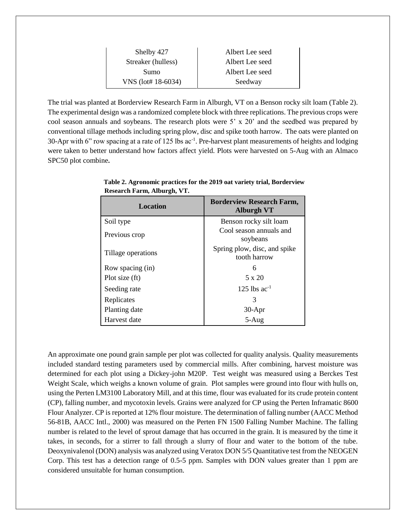| Shelby 427         | Albert Lee seed |  |  |
|--------------------|-----------------|--|--|
| Streaker (hulless) | Albert Lee seed |  |  |
| Sumo               | Albert Lee seed |  |  |
| VNS (lot# 18-6034) | Seedway         |  |  |

The trial was planted at Borderview Research Farm in Alburgh, VT on a Benson rocky silt loam (Table 2). The experimental design was a randomized complete block with three replications. The previous crops were cool season annuals and soybeans. The research plots were  $5' \times 20'$  and the seedbed was prepared by conventional tillage methods including spring plow, disc and spike tooth harrow. The oats were planted on 30-Apr with 6" row spacing at a rate of 125 lbs ac<sup>-1</sup>. Pre-harvest plant measurements of heights and lodging were taken to better understand how factors affect yield. Plots were harvested on 5-Aug with an Almaco SPC50 plot combine**.**

| <b>Location</b>    | <b>Borderview Research Farm,</b><br><b>Alburgh VT</b> |
|--------------------|-------------------------------------------------------|
| Soil type          | Benson rocky silt loam                                |
| Previous crop      | Cool season annuals and<br>soybeans                   |
| Tillage operations | Spring plow, disc, and spike<br>tooth harrow          |
| Row spacing (in)   | 6                                                     |
| Plot size (ft)     | $5 \times 20$                                         |
| Seeding rate       | 125 lbs $ac^{-1}$                                     |
| Replicates         | 3                                                     |
| Planting date      | $30-Apr$                                              |
| Harvest date       | $5-Aug$                                               |

 **Table 2. Agronomic practices for the 2019 oat variety trial, Borderview Research Farm, Alburgh, VT.**

An approximate one pound grain sample per plot was collected for quality analysis. Quality measurements included standard testing parameters used by commercial mills. After combining, harvest moisture was determined for each plot using a Dickey-john M20P. Test weight was measured using a Berckes Test Weight Scale, which weighs a known volume of grain. Plot samples were ground into flour with hulls on, using the Perten LM3100 Laboratory Mill, and at this time, flour was evaluated for its crude protein content (CP), falling number, and mycotoxin levels. Grains were analyzed for CP using the Perten Inframatic 8600 Flour Analyzer. CP is reported at 12% flour moisture. The determination of falling number (AACC Method 56-81B, AACC Intl., 2000) was measured on the Perten FN 1500 Falling Number Machine. The falling number is related to the level of sprout damage that has occurred in the grain. It is measured by the time it takes, in seconds, for a stirrer to fall through a slurry of flour and water to the bottom of the tube. Deoxynivalenol (DON) analysis was analyzed using Veratox DON 5/5 Quantitative test from the NEOGEN Corp. This test has a detection range of 0.5-5 ppm. Samples with DON values greater than 1 ppm are considered unsuitable for human consumption.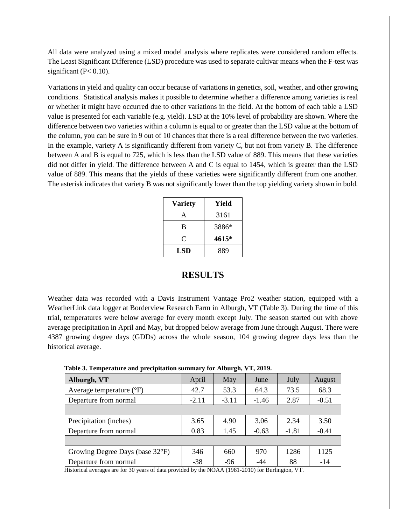All data were analyzed using a mixed model analysis where replicates were considered random effects. The Least Significant Difference (LSD) procedure was used to separate cultivar means when the F-test was significant ( $P < 0.10$ ).

Variations in yield and quality can occur because of variations in genetics, soil, weather, and other growing conditions. Statistical analysis makes it possible to determine whether a difference among varieties is real or whether it might have occurred due to other variations in the field. At the bottom of each table a LSD value is presented for each variable (e.g. yield). LSD at the 10% level of probability are shown. Where the difference between two varieties within a column is equal to or greater than the LSD value at the bottom of the column, you can be sure in 9 out of 10 chances that there is a real difference between the two varieties. In the example, variety A is significantly different from variety C, but not from variety B. The difference between A and B is equal to 725, which is less than the LSD value of 889. This means that these varieties did not differ in yield. The difference between A and C is equal to 1454, which is greater than the LSD value of 889. This means that the yields of these varieties were significantly different from one another. The asterisk indicates that variety B was not significantly lower than the top yielding variety shown in bold.

| <b>Variety</b> | Yield |  |  |
|----------------|-------|--|--|
| A              | 3161  |  |  |
| B              | 3886* |  |  |
| C              | 4615* |  |  |
| LSD            | 889   |  |  |

### **RESULTS**

Weather data was recorded with a Davis Instrument Vantage Pro2 weather station, equipped with a WeatherLink data logger at Borderview Research Farm in Alburgh, VT (Table 3). During the time of this trial, temperatures were below average for every month except July. The season started out with above average precipitation in April and May, but dropped below average from June through August. There were 4387 growing degree days (GDDs) across the whole season, 104 growing degree days less than the historical average.

| Alburgh, VT                       | April   | May     | June    | July    | August  |
|-----------------------------------|---------|---------|---------|---------|---------|
| Average temperature $(^{\circ}F)$ | 42.7    | 53.3    | 64.3    | 73.5    | 68.3    |
| Departure from normal             | $-2.11$ | $-3.11$ | $-1.46$ | 2.87    | $-0.51$ |
|                                   |         |         |         |         |         |
| Precipitation (inches)            | 3.65    | 4.90    | 3.06    | 2.34    | 3.50    |
| Departure from normal             | 0.83    | 1.45    | $-0.63$ | $-1.81$ | $-0.41$ |
|                                   |         |         |         |         |         |
| Growing Degree Days (base 32°F)   | 346     | 660     | 970     | 1286    | 1125    |
| Departure from normal             | $-38$   | $-96$   | -44     | 88      | $-14$   |

 **Table 3. Temperature and precipitation summary for Alburgh, VT, 2019.**

Historical averages are for 30 years of data provided by the NOAA (1981-2010) for Burlington, VT.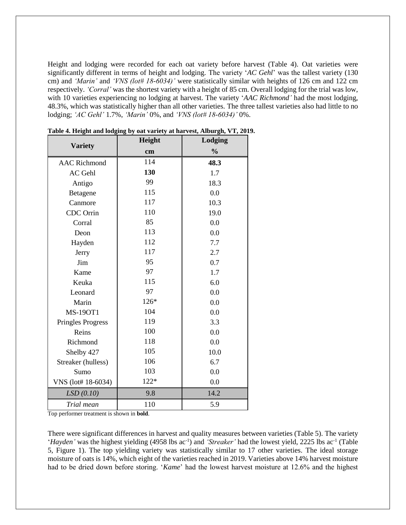Height and lodging were recorded for each oat variety before harvest (Table 4). Oat varieties were significantly different in terms of height and lodging. The variety '*AC Gehl*' was the tallest variety (130 cm) and *'Marin'* and *'VNS (lot# 18-6034)'* were statistically similar with heights of 126 cm and 122 cm respectively. *'Corral'* was the shortest variety with a height of 85 cm. Overall lodging for the trial was low, with 10 varieties experiencing no lodging at harvest. The variety '*AAC Richmond'* had the most lodging, 48.3%, which was statistically higher than all other varieties. The three tallest varieties also had little to no lodging; *'AC Gehl'* 1.7%, *'Marin'* 0%, and *'VNS (lot# 18-6034)'* 0%.

| <b>Variety</b>           | Height | Lodging       |  |  |
|--------------------------|--------|---------------|--|--|
|                          | cm     | $\frac{0}{0}$ |  |  |
| <b>AAC Richmond</b>      | 114    | 48.3          |  |  |
| AC Gehl                  | 130    | 1.7           |  |  |
| Antigo                   | 99     | 18.3          |  |  |
| Betagene                 | 115    | 0.0           |  |  |
| Canmore                  | 117    | 10.3          |  |  |
| CDC Orrin                | 110    | 19.0          |  |  |
| Corral                   | 85     | 0.0           |  |  |
| Deon                     | 113    | 0.0           |  |  |
| Hayden                   | 112    | 7.7           |  |  |
| Jerry                    | 117    | 2.7           |  |  |
| Jim                      | 95     | 0.7           |  |  |
| Kame                     | 97     | 1.7           |  |  |
| Keuka                    | 115    | 6.0           |  |  |
| Leonard                  | 97     | 0.0           |  |  |
| Marin                    | 126*   | 0.0           |  |  |
| <b>MS-19OT1</b>          | 104    | 0.0           |  |  |
| <b>Pringles Progress</b> | 119    | 3.3           |  |  |
| Reins                    | 100    | 0.0           |  |  |
| Richmond                 | 118    | 0.0           |  |  |
| Shelby 427               | 105    | 10.0          |  |  |
| Streaker (hulless)       | 106    | 6.7           |  |  |
| Sumo                     | 103    | 0.0           |  |  |
| VNS (lot# 18-6034)       | $122*$ | 0.0           |  |  |
| LSD(0.10)                | 9.8    | 14.2          |  |  |
| Trial mean               | 110    | 5.9           |  |  |

**Table 4. Height and lodging by oat variety at harvest, Alburgh, VT, 2019.**

Top performer treatment is shown in **bold**.

There were significant differences in harvest and quality measures between varieties (Table 5). The variety '*Hayden*' was the highest yielding (4958 lbs ac<sup>-1</sup>) and '*Streaker*' had the lowest yield, 2225 lbs ac<sup>-1</sup> (Table 5, Figure 1). The top yielding variety was statistically similar to 17 other varieties. The ideal storage moisture of oats is 14%, which eight of the varieties reached in 2019. Varieties above 14% harvest moisture had to be dried down before storing. '*Kame*' had the lowest harvest moisture at 12.6% and the highest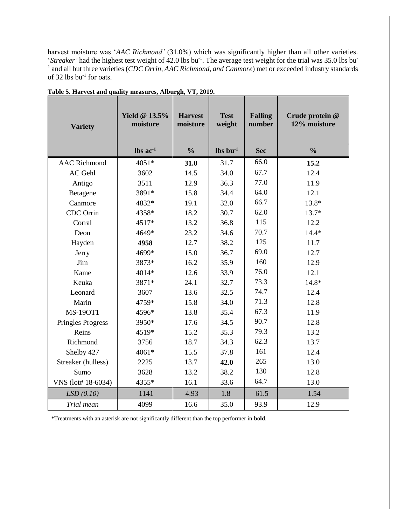harvest moisture was '*AAC Richmond'* (31.0%) which was significantly higher than all other varieties. '*Streaker*' had the highest test weight of 42.0 lbs bu<sup>-1</sup>. The average test weight for the trial was 35.0 lbs bu<sup>-</sup> <sup>1</sup> and all but three varieties (*CDC Orrin, AAC Richmond, and Canmore*) met or exceeded industry standards of 32 lbs  $bu^{-1}$  for oats.

| <b>Variety</b>           | <b>Yield @ 13.5%</b><br>moisture | <b>Harvest</b><br>moisture | <b>Test</b><br>weight          | <b>Falling</b><br>number | Crude protein @<br>12% moisture |
|--------------------------|----------------------------------|----------------------------|--------------------------------|--------------------------|---------------------------------|
|                          | $\text{lbs}$ ac <sup>-1</sup>    | $\frac{0}{0}$              | $\mathbf{lbs}\mathbf{bu}^{-1}$ | <b>Sec</b>               | $\frac{0}{0}$                   |
| <b>AAC Richmond</b>      | 4051*                            | 31.0                       | 31.7                           | 66.0                     | 15.2                            |
| <b>AC</b> Gehl           | 3602                             | 14.5                       | 34.0                           | 67.7                     | 12.4                            |
| Antigo                   | 3511                             | 12.9                       | 36.3                           | 77.0                     | 11.9                            |
| Betagene                 | 3891*                            | 15.8                       | 34.4                           | 64.0                     | 12.1                            |
| Canmore                  | 4832*                            | 19.1                       | 32.0                           | 66.7                     | 13.8*                           |
| CDC Orrin                | 4358*                            | 18.2                       | 30.7                           | 62.0                     | $13.7*$                         |
| Corral                   | 4517*                            | 13.2                       | 36.8                           | 115                      | 12.2                            |
| Deon                     | 4649*                            | 23.2                       | 34.6                           | 70.7                     | $14.4*$                         |
| Hayden                   | 4958                             | 12.7                       | 38.2                           | 125                      | 11.7                            |
| Jerry                    | 4699*                            | 15.0                       | 36.7                           | 69.0                     | 12.7                            |
| Jim                      | 3873*                            | 16.2                       | 35.9                           | 160                      | 12.9                            |
| Kame                     | 4014*                            | 12.6                       | 33.9                           | 76.0                     | 12.1                            |
| Keuka                    | 3871*                            | 24.1                       | 32.7                           | 73.3                     | 14.8*                           |
| Leonard                  | 3607                             | 13.6                       | 32.5                           | 74.7                     | 12.4                            |
| Marin                    | 4759*                            | 15.8                       | 34.0                           | 71.3                     | 12.8                            |
| <b>MS-19OT1</b>          | 4596*                            | 13.8                       | 35.4                           | 67.3                     | 11.9                            |
| <b>Pringles Progress</b> | 3950*                            | 17.6                       | 34.5                           | 90.7                     | 12.8                            |
| Reins                    | 4519*                            | 15.2                       | 35.3                           | 79.3                     | 13.2                            |
| Richmond                 | 3756                             | 18.7                       | 34.3                           | 62.3                     | 13.7                            |
| Shelby 427               | 4061*                            | 15.5                       | 37.8                           | 161                      | 12.4                            |
| Streaker (hulless)       | 2225                             | 13.7                       | 42.0                           | 265                      | 13.0                            |
| Sumo                     | 3628                             | 13.2                       | 38.2                           | 130                      | 12.8                            |
| VNS (lot# 18-6034)       | 4355*                            | 16.1                       | 33.6                           | 64.7                     | 13.0                            |
| LSD(0.10)                | 1141                             | 4.93                       | 1.8                            | 61.5                     | 1.54                            |
| Trial mean               | 4099                             | 16.6                       | 35.0                           | 93.9                     | 12.9                            |

**Table 5. Harvest and quality measures, Alburgh, VT, 2019.**

\*Treatments with an asterisk are not significantly different than the top performer in **bold**.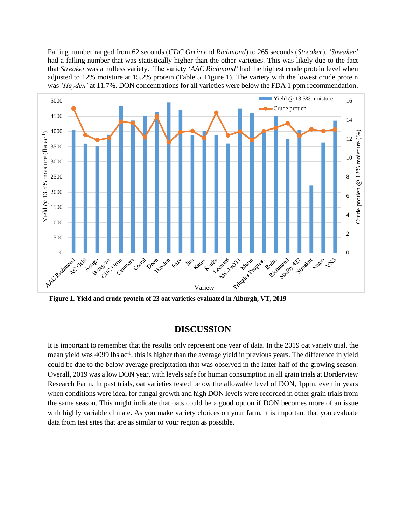Falling number ranged from 62 seconds (*CDC Orrin* and *Richmond*) to 265 seconds (*Streaker*). *'Streaker'*  had a falling number that was statistically higher than the other varieties. This was likely due to the fact that *Streaker* was a hulless variety. The variety '*AAC Richmond'* had the highest crude protein level when adjusted to 12% moisture at 15.2% protein (Table 5, Figure 1). The variety with the lowest crude protein was *'Hayden'* at 11.7%. DON concentrations for all varieties were below the FDA 1 ppm recommendation.



**Figure 1. Yield and crude protein of 23 oat varieties evaluated in Alburgh, VT, 2019**

## **DISCUSSION**

It is important to remember that the results only represent one year of data. In the 2019 oat variety trial, the mean yield was 4099 lbs ac<sup>-1</sup>, this is higher than the average yield in previous years. The difference in yield could be due to the below average precipitation that was observed in the latter half of the growing season. Overall, 2019 was a low DON year, with levels safe for human consumption in all grain trials at Borderview Research Farm. In past trials, oat varieties tested below the allowable level of DON, 1ppm, even in years when conditions were ideal for fungal growth and high DON levels were recorded in other grain trials from the same season. This might indicate that oats could be a good option if DON becomes more of an issue with highly variable climate. As you make variety choices on your farm, it is important that you evaluate data from test sites that are as similar to your region as possible.